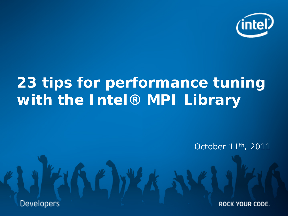

# **23 tips for performance tuning with the Intel® MPI Library**

October 11th, 2011

**Developers** 

ROCK YOUR CODE.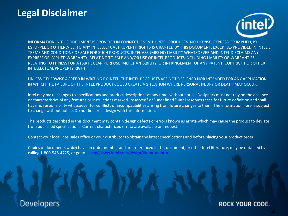# **Legal Disclaimer**



INFORMATION IN THIS DOCUMENT IS PROVIDED IN CONNECTION WITH INTEL PRODUCTS. NO LICENSE, EXPRESS OR IMPLIED, BY ESTOPPEL OR OTHERWISE, TO ANY INTELLECTUAL PROPERTY RIGHTS IS GRANTED BY THIS DOCUMENT. EXCEPT AS PROVIDED IN INTEL'S TERMS AND CONDITIONS OF SALE FOR SUCH PRODUCTS, INTEL ASSUMES NO LIABILITY WHATSOEVER AND INTEL DISCLAIMS ANY EXPRESS OR IMPLIED WARRANTY, RELATING TO SALE AND/OR USE OF INTEL PRODUCTS INCLUDING LIABILITY OR WARRANTIES RELATING TO FITNESS FOR A PARTICULAR PURPOSE, MERCHANTABILITY, OR INFRINGEMENT OF ANY PATENT, COPYRIGHT OR OTHER INTELLECTUAL PROPERTY RIGHT.

#### UNLESS OTHERWISE AGREED IN WRITING BY INTEL, THE INTEL PRODUCTS ARE NOT DESIGNED NOR INTENDED FOR ANY APPLICATION IN WHICH THE FAILURE OF THE INTEL PRODUCT COULD CREATE A SITUATION WHERE PERSONAL INJURY OR DEATH MAY OCCUR.

Intel may make changes to specifications and product descriptions at any time, without notice. Designers must not rely on the absence or characteristics of any features or instructions marked "reserved" or "undefined." Intel reserves these for future definition and shall have no responsibility whatsoever for conflicts or incompatibilities arising from future changes to them. The information here is subject to change without notice. Do not finalize a design with this information.

The products described in this document may contain design defects or errors known as errata which may cause the product to deviate from published specifications. Current characterized errata are available on request.

Contact your local Intel sales office or your distributor to obtain the latest specifications and before placing your product order.

Copies of documents which have an order number and are referenced in this document, or other Intel literature, may be obtained by calling 1-800-548-4725, or go to: <http://www.intel.com/design/literature.htm>

### **Developers**

### ROCK YOUR CODE.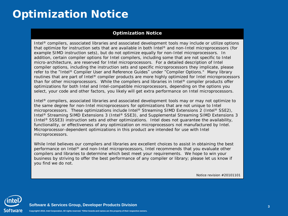# **Optimization Notice**

#### **Optimization Notice**

Intel® compilers, associated libraries and associated development tools may include or utilize options that optimize for instruction sets that are available in both Intel® and non-Intel microprocessors (for example SIMD instruction sets), but do not optimize equally for non-Intel microprocessors. In addition, certain compiler options for Intel compilers, including some that are not specific to Intel micro-architecture, are reserved for Intel microprocessors. For a detailed description of Intel compiler options, including the instruction sets and specific microprocessors they implicate, please refer to the "Intel® Compiler User and Reference Guides" under "Compiler Options." Many library routines that are part of Intel® compiler products are more highly optimized for Intel microprocessors than for other microprocessors. While the compilers and libraries in Intel® compiler products offer optimizations for both Intel and Intel-compatible microprocessors, depending on the options you select, your code and other factors, you likely will get extra performance on Intel microprocessors.

Intel® compilers, associated libraries and associated development tools may or may not optimize to the same degree for non-Intel microprocessors for optimizations that are not unique to Intel microprocessors. These optimizations include Intel® Streaming SIMD Extensions 2 (Intel® SSE2), Intel<sup>®</sup> Streaming SIMD Extensions 3 (Intel<sup>®</sup> SSE3), and Supplemental Streaming SIMD Extensions 3 (Intel® SSSE3) instruction sets and other optimizations. Intel does not guarantee the availability, functionality, or effectiveness of any optimization on microprocessors not manufactured by Intel. Microprocessor-dependent optimizations in this product are intended for use with Intel microprocessors.

While Intel believes our compilers and libraries are excellent choices to assist in obtaining the best performance on Intel® and non-Intel microprocessors, Intel recommends that you evaluate other compilers and libraries to determine which best meet your requirements. We hope to win your business by striving to offer the best performance of any compiler or library; please let us know if you find we do not.

Notice revision #20101101



**Software & Services Group, Developer Products Division**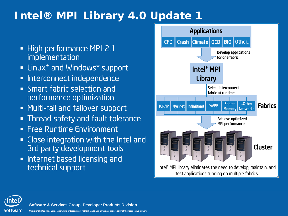# **Intel® MPI Library 4.0 Update 1**

- **High performance MPI-2.1** implementation
- **Example 2 Indows** \* support
- **Interconnect independence**
- Smart fabric selection and performance optimization
- Multi-rail and failover support
- Thread-safety and fault tolerance
- **Free Runtime Environment**
- Close integration with the Intel and 3rd party development tools
- **Internet based licensing and** technical support



**Software & Services Group, Developer Products Division**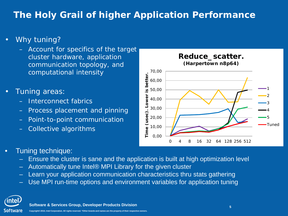# **The Holy Grail of higher Application Performance**

- Why tuning?
	- Account for specifics of the target cluster hardware, application communication topology, and computational intensity
- Tuning areas:
	- Interconnect fabrics
	- Process placement and pinning
	- Point-to-point communication
	- Collective algorithms



- Tuning technique:
	- Ensure the cluster is sane and the application is built at high optimization level
	- Automatically tune Intel® MPI Library for the given cluster
	- Learn your application communication characteristics thru stats gathering
	- Use MPI run-time options and environment variables for application tuning

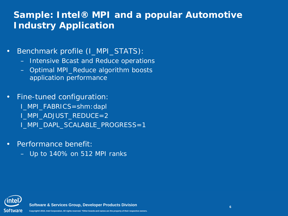### **Sample: Intel® MPI and a popular Automotive Industry Application**

- Benchmark profile (I\_MPI\_STATS):
	- Intensive Bcast and Reduce operations
	- Optimal MPI\_Reduce algorithm boosts application performance
- Fine-tuned configuration:
	- I\_MPI\_FABRICS=shm:dapl
	- I\_MPI\_ADJUST\_REDUCE=2
	- I MPI DAPL SCALABLE PROGRESS=1
- Performance benefit:
	- Up to 140% on 512 MPI ranks



**Software & Services Group, Developer Products Division**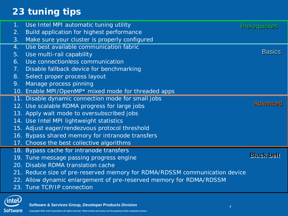# **23 tuning tips**

| 1 <sub>1</sub> | Use Intel MPI automatic tuning utility                                     | <b>Prerequisites</b> |
|----------------|----------------------------------------------------------------------------|----------------------|
| 2.             | Build application for highest performance                                  |                      |
| 3.             | Make sure your cluster is properly configured                              |                      |
| 4.             | Use best available communication fabric                                    |                      |
| 5.             | Use multi-rail capability                                                  | <b>Basics</b>        |
| 6.             | Use connectionless communication                                           |                      |
| 7.             | Disable fallback device for benchmarking                                   |                      |
| 8.             | Select proper process layout                                               |                      |
| 9.             | Manage process pinning                                                     |                      |
|                | 10. Enable MPI/OpenMP* mixed mode for threaded apps                        |                      |
|                | 11. Disable dynamic connection mode for small jobs                         |                      |
|                | 12. Use scalable RDMA progress for large jobs                              | <b>Advanced</b>      |
|                | 13. Apply wait mode to oversubscribed jobs                                 |                      |
|                | 14. Use Intel MPI lightweight statistics                                   |                      |
|                | 15. Adjust eager/rendezvous protocol threshold                             |                      |
|                | 16. Bypass shared memory for intranode transfers                           |                      |
|                | 17. Choose the best collective algorithms                                  |                      |
|                | 18. Bypass cache for intranode transfers                                   |                      |
|                | 19. Tune message passing progress engine                                   | <b>Black belt</b>    |
|                | 20. Disable RDMA translation cache                                         |                      |
|                | 21. Reduce size of pre-reserved memory for RDMA/RDSSM communication device |                      |
|                | 22. Allow dynamic enlargement of pre-reserved memory for RDMA/RDSSM        |                      |
|                | 23. Tune TCP/IP connection                                                 |                      |
| <b>itel</b>    |                                                                            |                      |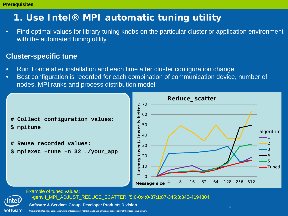### **1. Use Intel® MPI automatic tuning utility**

• Find optimal values for library tuning knobs on the particular cluster or application environment with the automated tuning utility

### **Cluster-specific tune**

- Run it once after installation and each time after cluster configuration change
- Best configuration is recorded for each combination of communication device, number of nodes, MPI ranks and process distribution model



- **\$ mpitune**
- **# Reuse recorded values:**
- **\$ mpiexec –tune –n 32 ./your\_app**





Example of tuned values: -genv I\_MPI\_ADJUST\_REDUCE\_SCATTER '5:0-0;4:0-87;1:87-345;3:345-4194304'

**Software & Services Group, Developer Products Division** 

**Copyright© 2010, Intel Corporation. All rights reserved. \*Other brands and names are the property of their respective owners.**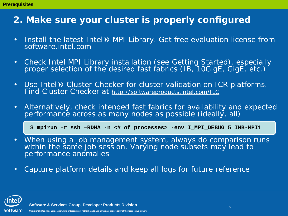### **2. Make sure your cluster is properly configured**

- Install the latest Intel® MPI Library. Get free evaluation license from software.intel.com
- Check Intel MPI Library installation (see Getting Started), especially proper selection of the desired fast fabrics (IB, 10GigE, GigE, etc.)
- Use Intel® Cluster Checker for cluster validation on ICR platforms. Find Cluster Checker at http://softwareproducts.intel.com/ILC
- Alternatively, check intended fast fabrics for availability and expected performance across as many nodes as possible (ideally, all)

**\$ mpirun –r ssh –RDMA -n <# of processes> -env I\_MPI\_DEBUG 5 IMB-MPI1**

- When using a job management system, always do comparison runs within the same job session. Varying node subsets may lead to performance anomalies
- Capture platform details and keep all logs for future reference

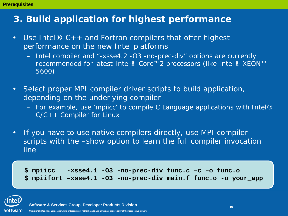### **3. Build application for highest performance**

- Use Intel® C++ and Fortran compilers that offer highest performance on the new Intel platforms
	- Intel compiler and "-xsse4.2 -O3 -no-prec-div" options are currently recommended for latest Intel® Core™2 processors (like Intel® XEON™ 5600)
- Select proper MPI compiler driver scripts to build application, depending on the underlying compiler
	- For example, use 'mpiicc' to compile C Language applications with Intel®  $C/C++$  Compiler for Linux
- If you have to use native compilers directly, use MPI compiler scripts with the –show option to learn the full compiler invocation line

**\$ mpiicc -xsse4.1 -O3 -no-prec-div func.c –c –o func.o \$ mpiifort –xsse4.1 -O3 -no-prec-div main.f func.o -o your\_app**

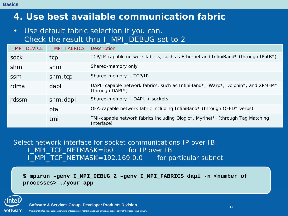**Basics**

### **4. Use best available communication fabric**

• Use default fabric selection if you can. Check the result thru I\_MPI\_DEBUG set to 2

| I_MPI_DEVICE | <b>I_MPI_FABRICS</b> | <b>Description</b>                                                                                 |
|--------------|----------------------|----------------------------------------------------------------------------------------------------|
| sock         | tcp                  | TCP/IP-capable network fabrics, such as Ethernet and InfiniBand* (through IPoIB*)                  |
| shm          | shm                  | Shared-memory only                                                                                 |
| ssm          | shm: tcp             | Shared-memory + TCP/IP                                                                             |
| rdma         | dapl                 | DAPL-capable network fabrics, such as InfiniBand*, iWarp*, Dolphin*, and XPMEM*<br>(through DAPL*) |
| rdssm        | shm: dapl            | Shared-memory + DAPL + sockets                                                                     |
|              | ofa                  | OFA-capable network fabric including InfiniBand* (through OFED* verbs)                             |
|              | tmi                  | TMI-capable network fabrics including Qlogic*, Myrinet*, (through Tag Matching<br>Interface)       |

Select network interface for socket communications IP over IB: I\_MPI\_TCP\_NETMASK=ib0 for IP over IB I\_MPI\_TCP\_NETMASK=192.169.0.0 for particular subnet

**\$ mpirun –genv I\_MPI\_DEBUG 2 –genv I\_MPI\_FABRICS dapl -n <number of processes> ./your\_app**

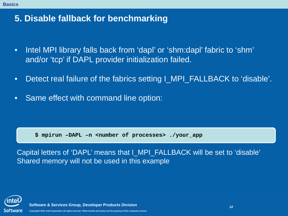### **5. Disable fallback for benchmarking**

- Intel MPI library falls back from 'dapl' or 'shm:dapl' fabric to 'shm' and/or 'tcp' if DAPL provider initialization failed.
- Detect real failure of the fabrics setting I\_MPI\_FALLBACK to 'disable'.
- Same effect with command line option:

**\$ mpirun –DAPL –n <number of processes> ./your\_app**

Capital letters of 'DAPL' means that I\_MPI\_FALLBACK will be set to 'disable' Shared memory will not be used in this example

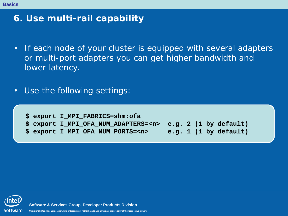### **6. Use multi-rail capability**

- If each node of your cluster is equipped with several adapters or multi-port adapters you can get higher bandwidth and lower latency.
- Use the following settings:

**\$ export I\_MPI\_FABRICS=shm:ofa \$ export I\_MPI\_OFA\_NUM\_ADAPTERS=<n> e.g. 2 (1 by default)** export I MPI OFA NUM PORTS=<n> e.g. 1 (1 by default)



**Software & Services Group, Developer Products Division** 

**Copyright© 2010, Intel Corporation. All rights reserved. \*Other brands and names are the property of their respective owners.**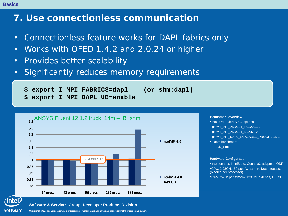### **7. Use connectionless communication**

- Connectionless feature works for DAPL fabrics only
- Works with OFED 1.4.2 and 2.0.24 or higher
- Provides better scalability
- Significantly reduces memory requirements
	- **\$ export I\_MPI\_FABRICS=dapl (or shm:dapl)**
	- **\$ export I\_MPI\_DAPL\_UD=enable**



#### **Benchmark overview**

•Intel® MPI Library 4.0 options -genv I\_MPI\_ADJUST\_REDUCE 2 -genv I\_MPI\_ADJUST\_BCAST 0 -genv I\_MPI\_DAPL\_SCALABLE\_PROGRESS 1 •Fluent benchmark Truck\_14m

#### **Hardware Configuration:**

•Interconnect: InfiniBand, ConnectX adapters; QDR •CPU: 2.93GHz B0-step Westmere Dual processor (6 cores per processor)

•RAM: 24Gb per system, 1333MHz (0.8ns) DDR3

**Software & Services Group, Developer Products Division** 

**Copyright© 2010, Intel Corporation. All rights reserved. \*Other brands and names are the property of their respective owners.**

Software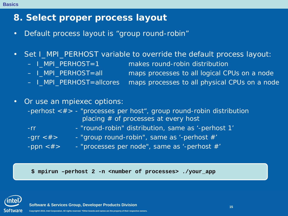#### **Basics**

### **8. Select proper process layout**

- Default process layout is "group round-robin"
- Set I\_MPI\_PERHOST variable to override the default process layout:
	-
	- I\_MPI\_PERHOST=1 makes round-robin distribution
	- I\_MPI\_PERHOST=all maps processes to all logical CPUs on a node
	- I\_MPI\_PERHOST=allcores maps processes to all physical CPUs on a node
- Or use an mpiexec options:
	- -perhost <#> "processes per host", group round-robin distribution placing  $#$  of processes at every host
	- -rr "round-robin" distribution, same as '-perhost 1'
	- -grr <#> "group round-robin", same as '-perhost #'
	- -ppn  $\lt \#$  "processes per node", same as '-perhost  $\#$ '

**\$ mpirun –perhost 2 -n <number of processes> ./your\_app**

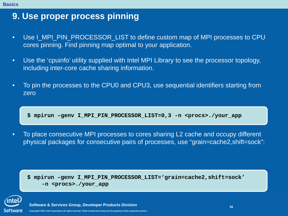### **9. Use proper process pinning**

- Use I MPI PIN PROCESSOR LIST to define custom map of MPI processes to CPU cores pinning. Find pinning map optimal to your application.
- Use the 'cpuinfo' utility supplied with Intel MPI Library to see the processor topology, including inter-core cache sharing information.
- To pin the processes to the CPU0 and CPU3, use sequential identifiers starting from zero

 $N$  , in the computation of  $N$  pinal processor  $\mathcal{N}$  and settings on the computer and settings on the computation **\$ mpirun –genv I\_MPI\_PIN\_PROCESSOR\_LIST=0,3 -n <procs>./your\_app**

• To place consecutive MPI processes to cores sharing L2 cache and occupy different physical packages for consecutive pairs of processes, use "grain=cache2,shift=sock":

**\$ mpirun –genv I\_MPI\_PIN\_PROCESSOR\_LIST='grain=cache2,shift=sock' -n <procs>./your\_app**

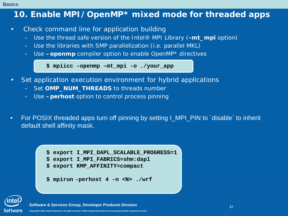#### **Basics**

### **10. Enable MPI/OpenMP\* mixed mode for threaded apps**

- Check command line for application building
	- Use the thread safe version of the Intel® MPI Library (**-mt\_mpi** option)
	- Use the libraries with SMP parallelization (i.e. parallel MKL)
	- Use **–openmp** compiler option to enable OpenMP\* directives

**\$ mpiicc –openmp –mt\_mpi -o ./your\_app**

- Set application execution environment for hybrid applications
	- Set **OMP\_NUM\_THREADS** to threads number
	- Use **–perhost** option to control process pinning
- For POSIX threaded apps turn off pinning by setting I\_MPI\_PIN to `disable` to inherit default shell affinity mask.



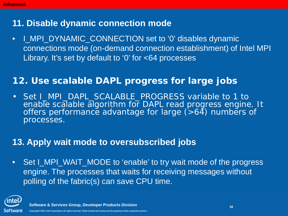### **11. Disable dynamic connection mode**

• I\_MPI\_DYNAMIC\_CONNECTION set to '0' disables dynamic connections mode (on-demand connection establishment) of Intel MPI Library. It's set by default to '0' for <64 processes

### **12. Use scalable DAPL progress for large jobs**

• Set I\_MPI\_DAPL\_SCALABLE\_PROGRESS variable to 1 to enable scalable algorithm for DAPL read progress engine. It offers performance advantage for large  $($ >64) numbers of processes.

### **13. Apply wait mode to oversubscribed jobs**

• Set I\_MPI\_WAIT\_MODE to 'enable' to try wait mode of the progress engine. The processes that waits for receiving messages without polling of the fabric(s) can save CPU time.

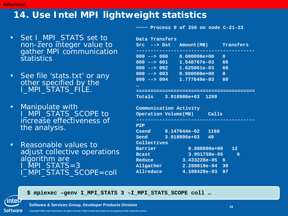### **14. Use Intel MPI lightweight statistics**

- Set I\_MPI\_STATS set to non-zero integer value to gather MPI communication **statistics**
- See file 'stats.txt' or any other specified by the I\_MPI\_STATS\_FILE.
- Manipulate with I\_MPI\_STATS\_SCOPE to increase effectiveness of the analysis.
- Reasonable values to adjust collective operations algorithm are  $MPI\_STATS=3$ I\_MPI\_STATS\_SCOPE=coll

**~~~~ Process 0 of 256 on node C-21-23**

| Data Transfers         |                                  |                 |  |  |  |  |
|------------------------|----------------------------------|-----------------|--|--|--|--|
|                        | Src --> Dst Amount(MB) Transfers |                 |  |  |  |  |
|                        |                                  |                 |  |  |  |  |
|                        | 000 --> 000 0.000000e+00         | $\mathbf{O}$    |  |  |  |  |
| $000$ --> $001$        | 1.548767e-03 60                  |                 |  |  |  |  |
|                        | $000$ --> $002$ 1.625061e-03 60  |                 |  |  |  |  |
|                        | $000$ --> 003 0.000000e+00       | $\mathbf{0}$    |  |  |  |  |
|                        | $000$ --> $004$ 1.777649e-03 60  |                 |  |  |  |  |
| $\ddotsc$              |                                  |                 |  |  |  |  |
|                        |                                  |                 |  |  |  |  |
|                        | Totals 3.918986e+03 1209         |                 |  |  |  |  |
|                        |                                  |                 |  |  |  |  |
| Communication Activity |                                  |                 |  |  |  |  |
|                        |                                  |                 |  |  |  |  |
|                        | Operation Volume (MB) Calls      |                 |  |  |  |  |
|                        |                                  |                 |  |  |  |  |
| P2P                    |                                  |                 |  |  |  |  |
|                        | Csend 9.147644e-02 1160          |                 |  |  |  |  |
| Send                   | 3.918895e+03 49                  |                 |  |  |  |  |
| Collectives            |                                  |                 |  |  |  |  |
| Barrier                | $0.000000e+00$ 12                |                 |  |  |  |  |
| <b>Bcast</b>           | 3.051758e-05                     | $6\phantom{1}6$ |  |  |  |  |
| Reduce                 | 3.433228e-05 6                   |                 |  |  |  |  |
| Allgather              | 2.288818e-04 30                  |                 |  |  |  |  |

**Software & Services Group, Developer Products Division** 

**\$ mpiexec –genv I\_MPI\_STATS 3 –I\_MPI\_STATS\_SCOPE coll …**

Software **Copyright© 2010, Intel Corporation. All rights reserved. \*Other brands and names are the property of their respective owners.**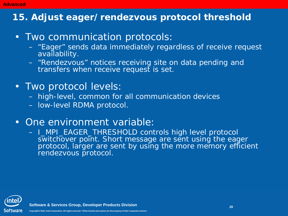# **15. Adjust eager/rendezvous protocol threshold**

- Two communication protocols:
	- "Eager" sends data immediately regardless of receive request availability.
	- "Rendezvous" notices receiving site on data pending and transfers when receive request is set.
- Two protocol levels:
	- high-level, common for all communication devices
	- low-level RDMA protocol.
- One environment variable:
	- I\_MPI\_EAGER\_THRESHOLD controls high level protocol switchover point. Short message are sent using the eager protocol, larger are sent by using the more memory efficient rendezvous protocol.



**Advanced**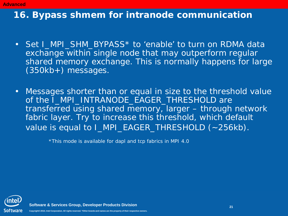#### **Advanced**

### **16. Bypass shmem for intranode communication**

- Set I\_MPI\_SHM\_BYPASS\* to 'enable' to turn on RDMA data exchange within single node that may outperform regular shared memory exchange. This is normally happens for large (350kb+) messages.
- Messages shorter than or equal in size to the threshold value of the I\_MPI\_INTRANODE\_EAGER\_THRESHOLD are transferred using shared memory, larger – through network fabric layer. Try to increase this threshold, which default value is equal to I\_MPI\_EAGER\_THRESHOLD (~256kb).

\*This mode is available for dapl and tcp fabrics in MPI 4.0

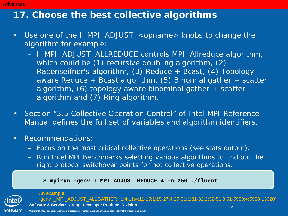#### **Advanced**

### **17. Choose the best collective algorithms**

- Use one of the I\_MPI\_ADJUST\_<opname> knobs to change the algorithm for example:
	- I\_MPI\_ADJUST\_ALLREDUCE controls MPI\_Allreduce algorithm, which could be (1) recursive doubling algorithm, (2) Rabenseifner's algorithm, (3) Reduce + Bcast, (4) Topology aware Reduce  $+$  Bcast algorithm, (5) Binomial gather  $+$  scatter algorithm, (6) topology aware binominal gather + scatter algorithm and (7) Ring algorithm.
- Section "3.5 Collective Operation Control" of Intel MPI Reference Manual defines the full set of variables and algorithm identifiers.
- Recommendations:
	- Focus on the most critical collective operations (see stats output).
	- Run Intel MPI Benchmarks selecting various algorithms to find out the right protocol switchover points for hot collective operations.

**\$ mpirun -genv I\_MPI\_ADJUST\_REDUCE 4 -n 256 ./fluent**



#### **Software & Services Group, Developer Products Division** An example: -genv I\_MPI\_ADJUST\_ALLGATHER '1:4-11;4:11-15;1:15-27;4:27-31;1:31-32;2:32-51;3:51-5988;4:5988-13320'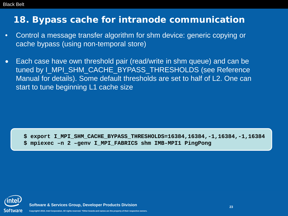### **18. Bypass cache for intranode communication**

- Control a message transfer algorithm for shm device: generic copying or cache bypass (using non-temporal store)
- Each case have own threshold pair (read/write in shm queue) and can be tuned by I\_MPI\_SHM\_CACHE\_BYPASS\_THRESHOLDS (see Reference Manual for details). Some default thresholds are set to half of L2. One can start to tune beginning L1 cache size

**\$ export I\_MPI\_SHM\_CACHE\_BYPASS\_THRESHOLDS=16384,16384,-1,16384,-1,16384 \$ mpiexec –n 2 –genv I\_MPI\_FABRICS shm IMB-MPI1 PingPong**

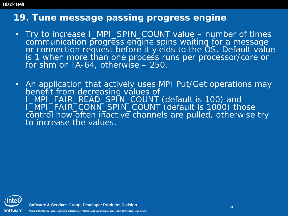### **19. Tune message passing progress engine**

- Try to increase I\_MPI\_SPIN\_COUNT value number of times communication progress engine spins waiting for a message or connection request before it yields to the OS. Default value is 1 when more than one process runs per processor/core or for shm on IA-64, otherwise – 250.
- An application that actively uses MPI Put/Get operations may benefit from decreasing values of I\_MPI\_FAIR\_READ\_SPIN\_COUNT (default is 100) and I\_MPI\_FAIR\_CONN\_SPIN\_COUNT (default is 1000) those control how often inactive channels are pulled, otherwise try to increase the values.

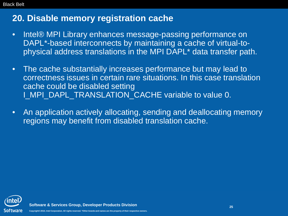### **20. Disable memory registration cache**

- Intel® MPI Library enhances message-passing performance on DAPL\*-based interconnects by maintaining a cache of virtual-tophysical address translations in the MPI DAPL\* data transfer path.
- The cache substantially increases performance but may lead to correctness issues in certain rare situations. In this case translation cache could be disabled setting I\_MPI\_DAPL\_TRANSLATION\_CACHE variable to value 0.
- An application actively allocating, sending and deallocating memory regions may benefit from disabled translation cache.

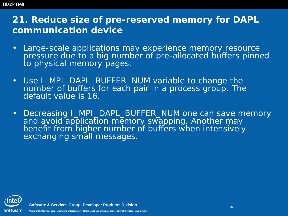### **21. Reduce size of pre-reserved memory for DAPL communication device**

- Large-scale applications may experience memory resource pressure due to a big number of pre-allocated buffers pinned to physical memory pages.
- Use I\_MPI\_DAPL\_BUFFER\_NUM variable to change the number of buffers for each pair in a process group. The default value is 16.
- Decreasing I\_MPI\_DAPL\_BUFFER\_NUM one can save memory and avoid application memory swapping. Another may benefit from higher number of buffers when intensively exchanging small messages.

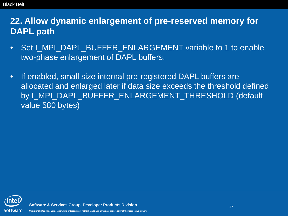**22. Allow dynamic enlargement of pre-reserved memory for DAPL path**

- Set I\_MPI\_DAPL\_BUFFER\_ENLARGEMENT variable to 1 to enable two-phase enlargement of DAPL buffers.
- If enabled, small size internal pre-registered DAPL buffers are allocated and enlarged later if data size exceeds the threshold defined by I\_MPI\_DAPL\_BUFFER\_ENLARGEMENT\_THRESHOLD (default value 580 bytes)

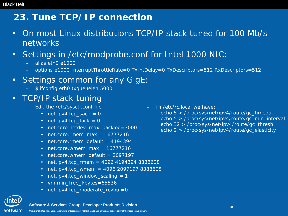### **23. Tune TCP/IP connection**

- On most Linux distributions TCP/IP stack tuned for 100 Mb/s networks
- Settings in /etc/modprobe.conf for Intel 1000 NIC:
	- alias eth0 e1000
	- options e1000 InterruptThrottleRate=0 TxIntDelay=0 TxDescriptors=512 RxDescriptors=512
- Settings common for any GigE:
	- \$ ifconfig eth0 txqueuelen 5000

### • TCP/IP stack tuning

- Edit the /etc/sysctl.conf file
	- net.ipv4.tcp\_sack  $= 0$
	- net.ipv4.tcp  $f$ ack = 0
	- net.core.netdev max backlog=3000
	- net.core.rmem\_max =  $16777216$
	- net.core.rmem\_default = 4194394
	- net.core.wmem max =  $16777216$
	- net.core.wmem default =  $2097197$
	- net.ipv4.tcp\_rmem =  $4096$  4194394 8388608
	- net.ipv4.tcp wmem = 4096 2097197 8388608
	- net.ipv4.tcp\_window\_scaling  $= 1$
	- vm.min free kbytes=65536
	- net.ipv4.tcp moderate rcvbuf=0
- Software
- **Software & Services Group, Developer Products Division**
- **Copyright© 2010, Intel Corporation. All rights reserved. \*Other brands and names are the property of their respective owners.**

– In /etc/rc.local we have:

 echo 5 > /proc/sys/net/ipv4/route/gc\_timeout echo 5 > /proc/sys/net/ipv4/route/gc\_min\_interval echo 32 > /proc/sys/net/ipv4/route/gc\_thresh echo 2 > /proc/sys/net/ipv4/route/gc\_elasticity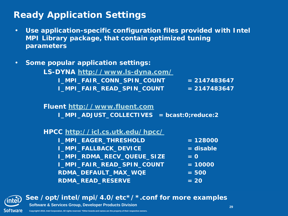### **Ready Application Settings**

- **Use application-specific configuration files provided with Intel MPI Library package, that contain optimized tuning parameters**
- **Some popular application settings:**
	- **LS-DYNA http://www.ls-dyna.com/ I\_MPI\_FAIR\_CONN\_SPIN\_COUNT = 2147483647 I\_MPI\_FAIR\_READ\_SPIN\_COUNT = 2147483647**

#### **Fluent http://www.fluent.com**

**I\_MPI\_ADJUST\_COLLECTIVES = bcast:0;reduce:2**

#### **HPCC http://icl.cs.utk.edu/hpcc/**

| <b>I_MPI_EAGER_THRESHOLD</b> | $= 128000$  |
|------------------------------|-------------|
| <b>I_MPI_FALLBACK_DEVICE</b> | $=$ disable |
| I_MPI_RDMA_RECV_QUEUE_SIZE   | $= 0$       |
| I_MPI_FAIR_READ_SPIN_COUNT   | $= 10000$   |
| RDMA_DEFAULT_MAX_WQE         | $= 500$     |
| <b>RDMA_READ_RESERVE</b>     | $= 20$      |



• **See /opt/intel/mpi/4.0/etc\*/\*.conf for more examples**

**Software & Services Group, Developer Products Division** 

**Copyright© 2010, Intel Corporation. All rights reserved. \*Other brands and names are the property of their respective owners.**